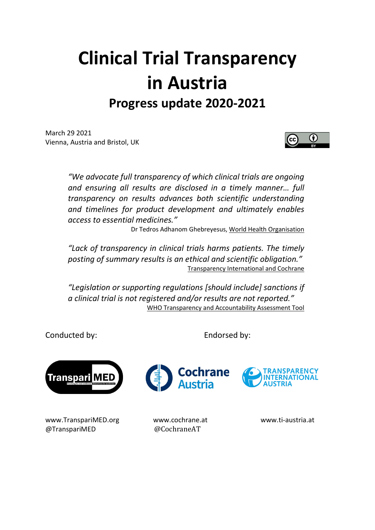# **Clinical Trial Transparency in Austria Progress update 2020-2021**

March 29 2021 Vienna, Austria and Bristol, UK

> *"We advocate full transparency of which clinical trials are ongoing and ensuring all results are disclosed in a timely manner… full transparency on results advances both scientific understanding and timelines for product development and ultimately enables access to essential medicines."*

Dr Tedros Adhanom Ghebreyesus[, World Health](https://www.transparimed.org/single-post/2019/03/25/New-report-25-leading-US-universities-violate-key-medical-transparency-law) Organisation

*"Lack of transparency in clinical trials harms patients. The timely posting of summary results is an ethical and scientific obligation."*  [Transparency International and Cochrane](https://docs.wixstatic.com/ugd/01f35d_def0082121a648529220e1d56df4b50a.pdf)

*"Legislation or supporting regulations [should include] sanctions if a clinical trial is not registered and/or results are not reported."* [WHO Transparency and Accountability Assessment Tool](https://apps.who.int/iris/bitstream/handle/10665/275370/WHO-EMP-2018.04-eng.pdf?ua=1)

Conducted by: Endorsed by:



[www.TranspariMED.org](http://www.transparimed.org/) www.cochrane.at www.ti-austria.at [@TranspariMED](https://twitter.com/transparimed) @CochraneAT



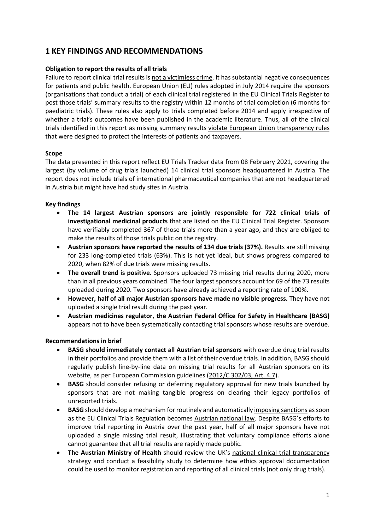# **1 KEY FINDINGS AND RECOMMENDATIONS**

#### **Obligation to report the results of all trials**

Failure to report clinical trial results is [not a victimless crime.](https://docs.wixstatic.com/ugd/01f35d_def0082121a648529220e1d56df4b50a.pdf) It has substantial negative consequences for patients and public health. European Union (EU) rules [adopted in July 2014](https://www.ema.europa.eu/en/news/posting-clinical-trial-summary-results-european-clinical-trials-database-eudract-become-mandatory) require the sponsors (organisations that conduct a trial) of each clinical trial registered in the EU Clinical Trials Register to post those trials' summary results to the registry within 12 months of trial completion (6 months for paediatric trials). These rules also apply to trials completed before 2014 and apply irrespective of whether a trial's outcomes have been published in the academic literature. Thus, all of the clinical trials identified in this report as missing summary results [violate European Union transparency rules](https://www.transparimed.org/single-post/2019/07/10/European-regulators-fire-warning-shot-over-5855-missing-clinical-trial-results) that were designed to protect the interests of patients and taxpayers.

#### **Scope**

The data presented in this report reflect [EU Trials Tracker](http://eu.trialstracker.net/?search) data from 08 February 2021, covering the largest (by volume of drug trials launched) 14 clinical trial sponsors headquartered in Austria. The report does not include trials of international pharmaceutical companies that are not headquartered in Austria but might have had study sites in Austria.

#### **Key findings**

- **The 14 largest Austrian sponsors are jointly responsible for 722 clinical trials of investigational medicinal products** that are listed on the EU Clinical Trial Register. Sponsors have verifiably completed 367 of those trials more than a year ago, and they are obliged to make the results of those trials public on the registry.
- **Austrian sponsors have reported the results of 134 due trials (37%).** Results are still missing for 233 long-completed trials (63%). This is not yet ideal, but shows progress compared to 2020, when 82% of due trials were missing results.
- **The overall trend is positive.** Sponsors uploaded 73 missing trial results during 2020, more than in all previous years combined. The four largest sponsors account for 69 of the 73 results uploaded during 2020. Two sponsors have already achieved a reporting rate of 100%.
- **However, half of all major Austrian sponsors have made no visible progress.** They have not uploaded a single trial result during the past year.
- **Austrian medicines regulator, the Austrian Federal Office for Safety in Healthcare (BASG)** appears not to have been systematically contacting trial sponsors whose results are overdue.

## **Recommendations in brief**

- **BASG should immediately contact all Austrian trial sponsors** with overdue drug trial results in their portfolios and provide them with a list of their overdue trials. In addition, BASG should regularly publish line-by-line data on missing trial results for all Austrian sponsors on its website, as per European Commission guidelines [\(2012/C 302/03, Art. 4.7\)](https://eur-lex.europa.eu/legal-content/EN/TXT/PDF/?uri=CELEX:52012XC1006(01)&from=EN).
- **BASG** should consider refusing or deferring regulatory approval for new trials launched by sponsors that are not making tangible progress on clearing their legacy portfolios of unreported trials.
- **BASG** should develop a mechanism for routinely and automaticall[y imposing sanctions](https://laegemiddelstyrelsen.dk/en/news/2020/danish-medicines-agency-takes-tougher-action-to-ensure-the-publication-of-clinical-trial-results/) as soon as the EU Clinical Trials Regulation becomes [Austrian national law.](https://www.transparimed.org/single-post/eu-clinical-trial-regulation-ctis-fines) Despite BASG's efforts to improve trial reporting in Austria over the past year, half of all major sponsors have not uploaded a single missing trial result, illustrating that voluntary compliance efforts alone cannot guarantee that all trial results are rapidly made public.
- **The Austrian Ministry of Health** should review the UK's [national clinical trial transparency](https://www.transparimed.org/single-post/2020/09/14/uk-clinical-trial-registration-reporting)  [strategy](https://www.transparimed.org/single-post/2020/09/14/uk-clinical-trial-registration-reporting) and conduct a feasibility study to determine how ethics approval documentation could be used to monitor registration and reporting of all clinical trials (not only drug trials).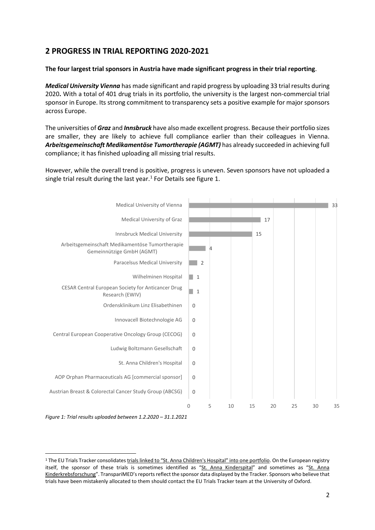# **2 PROGRESS IN TRIAL REPORTING 2020-2021**

#### **The four largest trial sponsors in Austria have made significant progress in their trial reporting**.

*Medical University Vienna* has made significant and rapid progress by uploading 33 trial results during 2020**.** With a total of 401 drug trials in its portfolio, the university is the largest non-commercial trial sponsor in Europe. Its strong commitment to transparency sets a positive example for major sponsors across Europe.

The universities of *Graz* and *Innsbruck* have also made excellent progress. Because their portfolio sizes are smaller, they are likely to achieve full compliance earlier than their colleagues in Vienna. *Arbeitsgemeinschaft Medikamentöse Tumortherapie (AGMT)* has already succeeded in achieving full compliance; it has finished uploading all missing trial results.

However, while the overall trend is positive, progress is uneven. Seven sponsors have not uploaded a single trial result during the last year.<sup>[1](#page-2-0)</sup> For Details see figure 1.



<span id="page-2-0"></span><sup>&</sup>lt;sup>1</sup> The EU Trials Tracker consolidates [trials linked to "St. Anna Children's Hospital"](http://eu.trialstracker.net/sponsor/st-anna-childrens-hospital) into one portfolio. On the European registry itself, the sponsor of these trials is sometimes identified as ["St. Anna Kinderspital"](http://eu.trialstracker.net/sponsor/st-anna-childrens-hospital) and sometimes as "St. Anna [Kinderkrebsforschung"](https://www.clinicaltrialsregister.eu/ctr-search/search?query=2005-005106-23). TranspariMED's reports reflect the sponsor data displayed by the Tracker. Sponsors who believe that trials have been mistakenly allocated to them should contact the EU Trials Tracker team at the University of Oxford.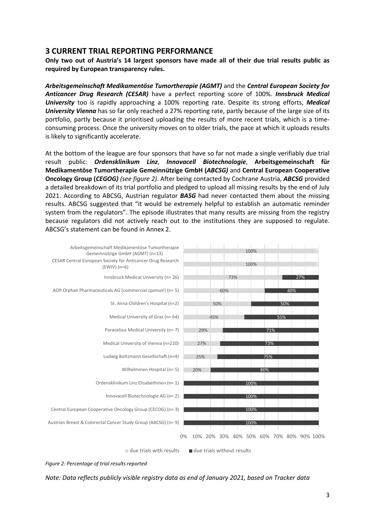## **3 CURRENT TRIAL REPORTING PERFORMANCE**

**Only two out of Austria's 14 largest sponsors have made all of their due trial results public as required by European transparency rules.**

*Arbeitsgemeinschaft Medikamentöse Tumortherapie (AGMT)* and the *Central European Society for Anticancer Drug Research (CESAR)* have a perfect reporting score of 100%. *Innsbruck Medical University* too is rapidly approaching a 100% reporting rate. Despite its strong efforts, *Medical University Vienna* has so far only reached a 27% reporting rate, partly because of the large size of its portfolio, partly because it prioritised uploading the results of more recent trials, which is a timeconsuming process. Once the university moves on to older trials, the pace at which it uploads results is likely to significantly accelerate.

At the bottom of the league are four sponsors that have so far not made a single verifiably due trial result public: *Ordensklinikum Linz*, *Innovacell Biotechnologie*, **Arbeitsgemeinschaft für Medikamentöse Tumortherapie Gemeinnützige GmbH (***ABCSG)* and **Central European Cooperative Oncology Group (***CEGOG) (see figure 2)*. After being contacted by Cochrane Austria, *ABCSG* provided a detailed breakdown of its trial portfolio and pledged to upload all missing results by the end of July 2021. According to ABCSG, Austrian regulator *BASG* had never contacted them about the missing results. ABCSG suggested that "it would be extremely helpful to establish an automatic reminder system from the regulators". The episode illustrates that many results are missing from the registry because regulators did not actively reach out to the institutions they are supposed to regulate. ABCSG's statement can be found in Annex 2.



*Figure 2: Percentage of trial results reported*

*Note: Data reflects publicly visible registry data as end of January 2021, based on Tracker data*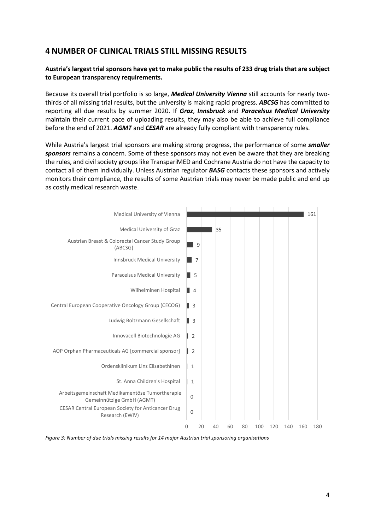# **4 NUMBER OF CLINICAL TRIALS STILL MISSING RESULTS**

## **Austria's largest trial sponsors have yet to make public the results of 233 drug trials that are subject to European transparency requirements.**

Because its overall trial portfolio is so large, *Medical University Vienna* still accounts for nearly twothirds of all missing trial results, but the university is making rapid progress. *ABCSG* has committed to reporting all due results by summer 2020. If *Graz*, *Innsbruck* and *Paracelsus Medical University* maintain their current pace of uploading results, they may also be able to achieve full compliance before the end of 2021. *AGMT* and *CESAR* are already fully compliant with transparency rules.

While Austria's largest trial sponsors are making strong progress, the performance of some *smaller sponsors* remains a concern. Some of these sponsors may not even be aware that they are breaking the rules, and civil society groups like TranspariMED and Cochrane Austria do not have the capacity to contact all of them individually. Unless Austrian regulator *BASG* contacts these sponsors and actively monitors their compliance, the results of some Austrian trials may never be made public and end up as costly medical research waste.



*Figure 3: Number of due trials missing results for 14 major Austrian trial sponsoring organisations*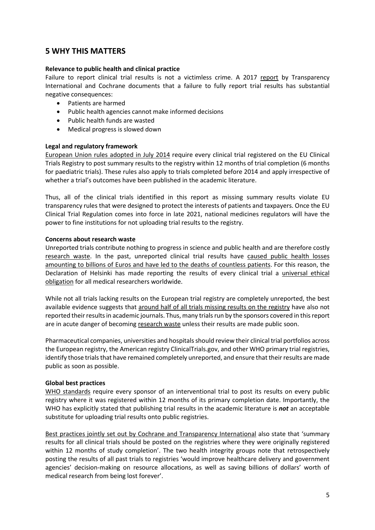# **5 WHY THIS MATTERS**

#### **Relevance to public health and clinical practice**

Failure to report clinical trial results is not a victimless crime. A 2017 [report](https://docs.wixstatic.com/ugd/01f35d_def0082121a648529220e1d56df4b50a.pdf) by Transparency International and Cochrane documents that a failure to fully report trial results has substantial negative consequences:

- Patients are harmed
- Public health agencies cannot make informed decisions
- Public health funds are wasted
- Medical progress is slowed down

#### **Legal and regulatory framework**

[European Union rules adopted in July 2014](https://www.ema.europa.eu/en/news/posting-clinical-trial-summary-results-european-clinical-trials-database-eudract-become-mandatory) require every clinical trial registered on the EU Clinical Trials Registry to post summary results to the registry within 12 months of trial completion (6 months for paediatric trials). These rules also apply to trials completed before 2014 and apply irrespective of whether a trial's outcomes have been published in the academic literature.

Thus, all of the clinical trials identified in this report as missing summary results violate EU transparency rules that were designed to protect the interests of patients and taxpayers. Once the EU Clinical Trial Regulation comes into force in late 2021, national medicines regulators will have the power to fine institutions for not uploading trial results to the registry.

#### **Concerns about research waste**

Unreported trials contribute nothing to progress in science and public health and are therefore costly [research waste.](https://www.thelancet.com/series/research) In the past, unreported clinical trial results have [caused public health losses](https://media.wix.com/ugd/01f35d_0f2955eb88e34c02b82d886c528efeb4.pdf)  [amounting to billions of Euros and have led to the deaths](https://media.wix.com/ugd/01f35d_0f2955eb88e34c02b82d886c528efeb4.pdf) of countless patients. For this reason, the Declaration of Helsinki has made reporting the results of every clinical trial a [universal ethical](https://www.wma.net/policies-post/wma-declaration-of-helsinki-ethical-principles-for-medical-research-involving-human-subjects/)  [obligation](https://www.wma.net/policies-post/wma-declaration-of-helsinki-ethical-principles-for-medical-research-involving-human-subjects/) for all medical researchers worldwide.

While not all trials lacking results on the European trial registry are completely unreported, the best available evidence suggests that [around half of all trials missing results on the registry](https://www.bmj.com/content/362/bmj.k3218) have also not reported their results in academic journals. Thus, many trials run by the sponsors covered in this report are in acute danger of becoming [research waste](https://988e032c-518c-4d3b-b8e1-0f903f16a792.filesusr.com/ugd/01f35d_674e5287df2f4be9ad4a9cc238390f2f.pdf) unless their results are made public soon.

Pharmaceutical companies, universities and hospitals should review their clinical trial portfolios across the European registry, the American registry ClinicalTrials.gov, and other WHO primary trial registries, identify those trials that have remained completely unreported, and ensure that their results are made public as soon as possible.

#### **Global best practices**

[WHO standards](http://www.who.int/ictrp/results/jointstatement/en/) require every sponsor of an interventional trial to post its results on every public registry where it was registered within 12 months of its primary completion date. Importantly, the WHO has explicitly stated that publishing trial results in the academic literature is *not* an acceptable substitute for uploading trial results onto public registries.

[Best practices jointly set out by Cochrane and Transparency International](https://docs.wixstatic.com/ugd/01f35d_def0082121a648529220e1d56df4b50a.pdf) also state that 'summary results for all clinical trials should be posted on the registries where they were originally registered within 12 months of study completion'. The two health integrity groups note that retrospectively posting the results of all past trials to registries 'would improve healthcare delivery and government agencies' decision-making on resource allocations, as well as saving billions of dollars' worth of medical research from being lost forever'.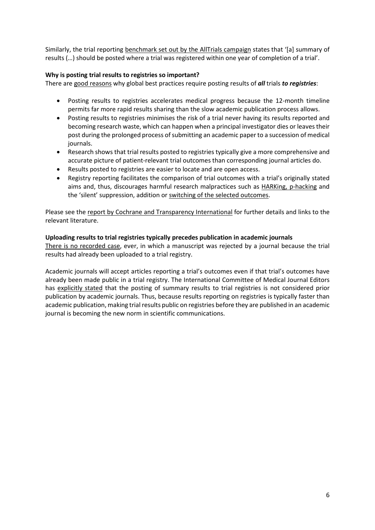Similarly, the trial reporting [benchmark set out by the AllTrials campaign](http://www.alltrials.net/wp-content/uploads/2017/02/AllTrials-Roadmap.pdf) states that '[a] summary of results (…) should be posted where a trial was registered within one year of completion of a trial'.

## **Why is posting trial results to registries so important?**

There are [good reasons](https://www.transparimed.org/single-post/2019/04/24/Why-is-uploading-clinical-results-onto-trial-registries-so-important) why global best practices require posting results of *all* trials *to registries*:

- Posting results to registries accelerates medical progress because the 12-month timeline permits far more rapid results sharing than the slow academic publication process allows.
- Posting results to registries minimises the risk of a trial never having its results reported and becoming research waste, which can happen when a principal investigator dies or leaves their post during the prolonged process of submitting an academic paper to a succession of medical journals.
- Research shows that trial results posted to registries typically give a more comprehensive and accurate picture of patient-relevant trial outcomes than corresponding journal articles do.
- Results posted to registries are easier to locate and are open access.
- Registry reporting facilitates the comparison of trial outcomes with a trial's originally stated aims and, thus, discourages harmful research malpractices such as [HARKing, p-hacking](https://www.nature.com/articles/s41562-016-0021) and the 'silent' suppression, addition or [switching of the selected outcomes.](https://www.bmj.com/content/356/bmj.j396)

Please see the [report by Cochrane and Transparency International](https://docs.wixstatic.com/ugd/01f35d_def0082121a648529220e1d56df4b50a.pdf) for further details and links to the relevant literature.

#### **Uploading results to trial registries typically precedes publication in academic journals**

[There is no recorded case,](https://www.transparimed.org/single-post/2019/10/16/If-I-upload-the-results-of-my-clinical-trial-onto-a-registry-will-that-endanger-journal-publication-The-answer-is-a-loud-and-clear-No) ever, in which a manuscript was rejected by a journal because the trial results had already been uploaded to a trial registry.

Academic journals will accept articles reporting a trial's outcomes even if that trial's outcomes have already been made public in a trial registry. The International Committee of Medical Journal Editors has [explicitly stated](https://www.transparimed.org/single-post/2019/10/16/If-I-upload-the-results-of-my-clinical-trial-onto-a-registry-will-that-endanger-journal-publication-The-answer-is-a-loud-and-clear-No) that the posting of summary results to trial registries is not considered prior publication by academic journals. Thus, because results reporting on registries is typically faster than academic publication, making trial results public on registries before they are published in an academic journal is becoming the new norm in scientific communications.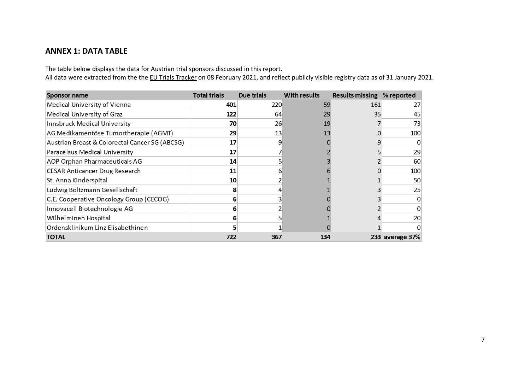## **ANNEX 1: DATA TABLE**

The table below displays the data for Austrian trial sponsors discussed in this report.

All data were extracted from the th[e EU Trials Tracker](http://eu.trialstracker.net/?search) on 08 February 2021, and reflect publicly visible registry data as of 31 January 2021.

| Sponsor name                                   | <b>Total trials</b> | <b>Due trials</b> | <b>With results</b> | <b>Results missing</b> | % reported      |
|------------------------------------------------|---------------------|-------------------|---------------------|------------------------|-----------------|
| Medical University of Vienna                   | 401                 | 220               | 59                  | 161                    | 27              |
| Medical University of Graz                     | 122                 | 64                | 29                  | 35                     | 45              |
| Innsbruck Medical University                   | 70                  | 26                | 19                  |                        | 73              |
| AG Medikamentöse Tumortherapie (AGMT)          | 29                  | 13                | 13                  |                        | 100             |
| Austrian Breast & Colorectal Cancer SG (ABCSG) | 17                  | 9                 |                     |                        |                 |
| Paracelsus Medical University                  | 17                  |                   |                     |                        | 29              |
| AOP Orphan Pharmaceuticals AG                  | 14                  |                   |                     |                        | 60              |
| <b>CESAR Anticancer Drug Research</b>          | 11                  | ь                 |                     |                        | 100             |
| St. Anna Kinderspital                          | 10                  |                   |                     |                        | 50              |
| Ludwig Boltzmann Gesellschaft                  |                     |                   |                     |                        | 25              |
| C.E. Cooperative Oncology Group (CECOG)        | 6                   |                   |                     |                        |                 |
| Innovacell Biotechnologie AG                   |                     |                   |                     |                        |                 |
| Wilhelminen Hospital                           |                     |                   |                     |                        | 20              |
| Ordensklinikum Linz Elisabethinen              |                     |                   |                     |                        |                 |
| <b>TOTAL</b>                                   | 722                 | 367               | 134                 |                        | 233 average 37% |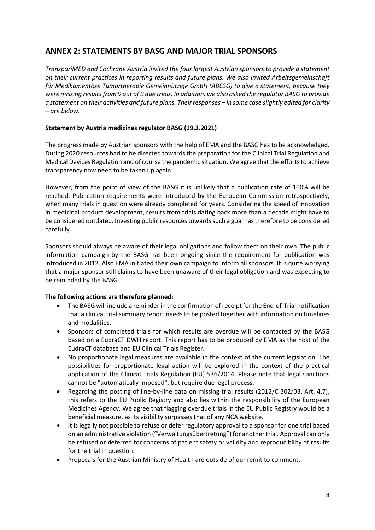# **ANNEX 2: STATEMENTS BY BASG AND MAJOR TRIAL SPONSORS**

*TranspariMED and Cochrane Austria invited the four largest Austrian sponsors to provide a statement on their current practices in reporting results and future plans. We also invited Arbeitsgemeinschaft für Medikamentöse Tumortherapie Gemeinnützige GmbH (ABCSG) to give a statement, because they were missing results from 9 out of 9 due trials. In addition, we also asked the regulator BASG to provide a statement on their activities and future plans. Their responses – in some case slightly edited for clarity – are below.*

## **Statement by Austria medicines regulator BASG (19.3.2021)**

The progress made by Austrian sponsors with the help of EMA and the BASG has to be acknowledged. During 2020 resources had to be directed towards the preparation for the Clinical Trial Regulation and Medical Devices Regulation and of course the pandemic situation. We agree that the efforts to achieve transparency now need to be taken up again.

However, from the point of view of the BASG it is unlikely that a publication rate of 100% will be reached. Publication requirements were introduced by the European Commission retrospectively, when many trials in question were already completed for years. Considering the speed of innovation in medicinal product development, results from trials dating back more than a decade might have to be considered outdated. Investing public resources towards such a goal has therefore to be considered carefully.

Sponsors should always be aware of their legal obligations and follow them on their own. The public information campaign by the BASG has been ongoing since the requirement for publication was introduced in 2012. Also EMA initiated their own campaign to inform all sponsors. It is quite worrying that a major sponsor still claims to have been unaware of their legal obligation and was expecting to be reminded by the BASG.

## **The following actions are therefore planned:**

- The BASG will include a reminder in the confirmation of receipt for the End-of-Trial notification that a clinical trial summary report needs to be posted together with information on timelines and modalities.
- Sponsors of completed trials for which results are overdue will be contacted by the BASG based on a EudraCT DWH report. This report has to be produced by EMA as the host of the EudraCT database and EU Clinical Trials Register.
- No proportionate legal measures are available in the context of the current legislation. The possibilities for proportionate legal action will be explored in the context of the practical application of the Clinical Trials Regulation (EU) 536/2014. Please note that legal sanctions cannot be "automatically imposed", but require due legal process.
- Regarding the posting of line-by-line data on missing trial results (2012/C 302/03, Art. 4.7), this refers to the EU Public Registry and also lies within the responsibility of the European Medicines Agency. We agree that flagging overdue trials in the EU Public Registry would be a beneficial measure, as its visibility surpasses that of any NCA website.
- It is legally not possible to refuse or defer regulatory approval to a sponsor for one trial based on an administrative violation ("Verwaltungsübertretung") for another trial. Approval can only be refused or deferred for concerns of patient safety or validity and reproducibility of results for the trial in question.
- Proposals for the Austrian Ministry of Health are outside of our remit to comment.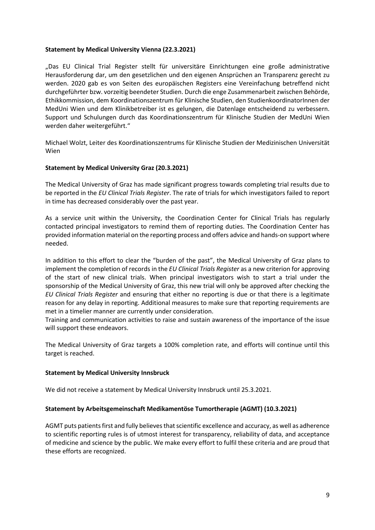#### **Statement by Medical University Vienna (22.3.2021)**

"Das EU Clinical Trial Register stellt für universitäre Einrichtungen eine große administrative Herausforderung dar, um den gesetzlichen und den eigenen Ansprüchen an Transparenz gerecht zu werden. 2020 gab es von Seiten des europäischen Registers eine Vereinfachung betreffend nicht durchgeführter bzw. vorzeitig beendeter Studien. Durch die enge Zusammenarbeit zwischen Behörde, Ethikkommission, dem Koordinationszentrum für Klinische Studien, den StudienkoordinatorInnen der MedUni Wien und dem Klinikbetreiber ist es gelungen, die Datenlage entscheidend zu verbessern. Support und Schulungen durch das Koordinationszentrum für Klinische Studien der MedUni Wien werden daher weitergeführt."

Michael Wolzt, Leiter des Koordinationszentrums für Klinische Studien der Medizinischen Universität Wien

#### **Statement by Medical University Graz (20.3.2021)**

The Medical University of Graz has made significant progress towards completing trial results due to be reported in the *EU Clinical Trials Register*. The rate of trials for which investigators failed to report in time has decreased considerably over the past year.

As a service unit within the University, the Coordination Center for Clinical Trials has regularly contacted principal investigators to remind them of reporting duties. The Coordination Center has provided information material on the reporting process and offers advice and hands-on support where needed.

In addition to this effort to clear the "burden of the past", the Medical University of Graz plans to implement the completion of records in the *EU Clinical Trials Register* as a new criterion for approving of the start of new clinical trials. When principal investigators wish to start a trial under the sponsorship of the Medical University of Graz, this new trial will only be approved after checking the *EU Clinical Trials Register* and ensuring that either no reporting is due or that there is a legitimate reason for any delay in reporting. Additional measures to make sure that reporting requirements are met in a timelier manner are currently under consideration.

Training and communication activities to raise and sustain awareness of the importance of the issue will support these endeavors.

The Medical University of Graz targets a 100% completion rate, and efforts will continue until this target is reached.

#### **Statement by Medical University Innsbruck**

We did not receive a statement by Medical University Innsbruck until 25.3.2021.

## **Statement by Arbeitsgemeinschaft Medikamentöse Tumortherapie (AGMT) (10.3.2021)**

AGMT puts patients first and fully believes that scientific excellence and accuracy, as well as adherence to scientific reporting rules is of utmost interest for transparency, reliability of data, and acceptance of medicine and science by the public. We make every effort to fulfil these criteria and are proud that these efforts are recognized.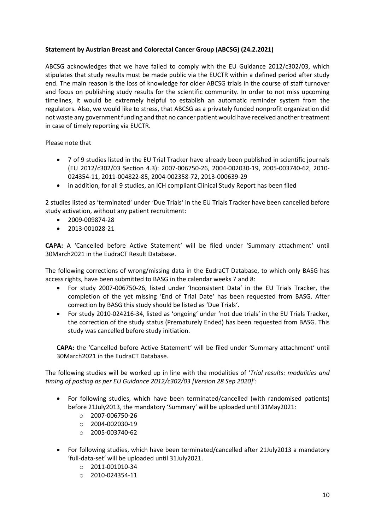## **Statement by Austrian Breast and Colorectal Cancer Group (ABCSG) (24.2.2021)**

ABCSG acknowledges that we have failed to comply with the EU Guidance 2012/c302/03, which stipulates that study results must be made public via the EUCTR within a defined period after study end. The main reason is the loss of knowledge for older ABCSG trials in the course of staff turnover and focus on publishing study results for the scientific community. In order to not miss upcoming timelines, it would be extremely helpful to establish an automatic reminder system from the regulators. Also, we would like to stress, that ABCSG as a privately funded nonprofit organization did not waste any government funding and that no cancer patient would have received another treatment in case of timely reporting via EUCTR.

Please note that

- 7 of 9 studies listed in the EU Trial Tracker have already been published in scientific journals (EU 2012/c302/03 Section 4.3): 2007-006750-26, 2004-002030-19, 2005-003740-62, 2010- 024354-11, 2011-004822-85, 2004-002358-72, 2013-000639-29
- in addition, for all 9 studies, an ICH compliant Clinical Study Report has been filed

2 studies listed as 'terminated' under 'Due Trials' in the EU Trials Tracker have been cancelled before study activation, without any patient recruitment:

- 2009-009874-28
- 2013-001028-21

**CAPA:** A 'Cancelled before Active Statement' will be filed under 'Summary attachment' until 30March2021 in the EudraCT Result Database.

The following corrections of wrong/missing data in the EudraCT Database, to which only BASG has access rights, have been submitted to BASG in the calendar weeks 7 and 8:

- For study 2007-006750-26, listed under 'Inconsistent Data' in the EU Trials Tracker, the completion of the yet missing 'End of Trial Date' has been requested from BASG. After correction by BASG this study should be listed as 'Due Trials'.
- For study 2010-024216-34, listed as 'ongoing' under 'not due trials' in the EU Trials Tracker, the correction of the study status (Prematurely Ended) has been requested from BASG. This study was cancelled before study initiation.

**CAPA:** the 'Cancelled before Active Statement' will be filed under 'Summary attachment' until 30March2021 in the EudraCT Database.

The following studies will be worked up in line with the modalities of '*Trial results: modalities and timing of posting as per EU Guidance 2012/c302/03 [Version 28 Sep 2020]*':

- For following studies, which have been terminated/cancelled (with randomised patients) before 21July2013, the mandatory 'Summary' will be uploaded until 31May2021:
	- o 2007-006750-26
	- o 2004-002030-19
	- $O$  2005-003740-62
- For following studies, which have been terminated/cancelled after 21July2013 a mandatory 'full-data-set' will be uploaded until 31July2021.
	- o 2011-001010-34
	- o 2010-024354-11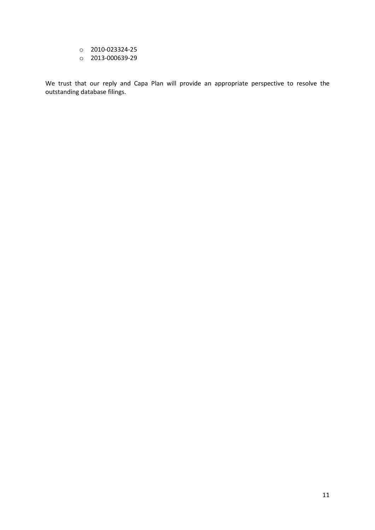- o 2010-023324-25
- o 2013-000639-29

We trust that our reply and Capa Plan will provide an appropriate perspective to resolve the outstanding database filings.